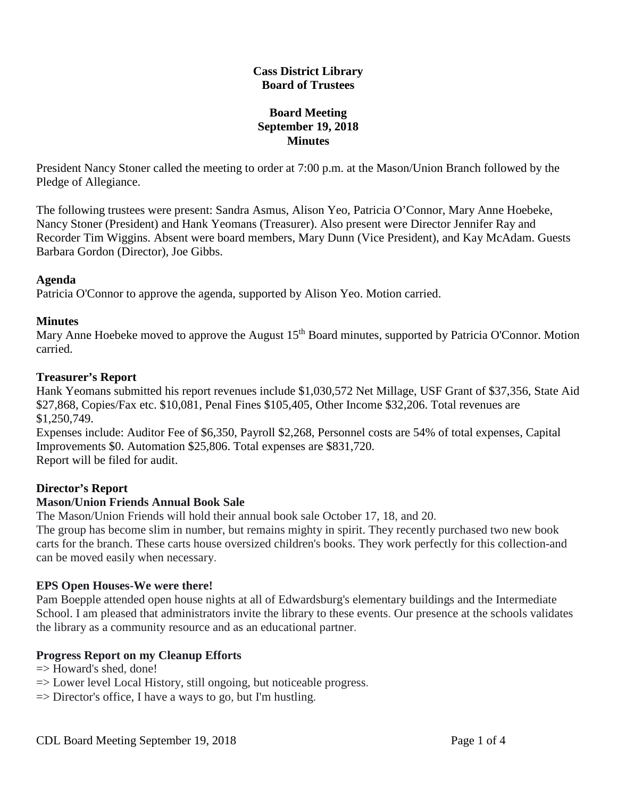## **Cass District Library Board of Trustees**

# **Board Meeting September 19, 2018 Minutes**

President Nancy Stoner called the meeting to order at 7:00 p.m. at the Mason/Union Branch followed by the Pledge of Allegiance.

The following trustees were present: Sandra Asmus, Alison Yeo, Patricia O'Connor, Mary Anne Hoebeke, Nancy Stoner (President) and Hank Yeomans (Treasurer). Also present were Director Jennifer Ray and Recorder Tim Wiggins. Absent were board members, Mary Dunn (Vice President), and Kay McAdam. Guests Barbara Gordon (Director), Joe Gibbs.

## **Agenda**

Patricia O'Connor to approve the agenda, supported by Alison Yeo. Motion carried.

## **Minutes**

Mary Anne Hoebeke moved to approve the August 15<sup>th</sup> Board minutes, supported by Patricia O'Connor. Motion carried.

## **Treasurer's Report**

Hank Yeomans submitted his report revenues include \$1,030,572 Net Millage, USF Grant of \$37,356, State Aid \$27,868, Copies/Fax etc. \$10,081, Penal Fines \$105,405, Other Income \$32,206. Total revenues are \$1,250,749.

Expenses include: Auditor Fee of \$6,350, Payroll \$2,268, Personnel costs are 54% of total expenses, Capital Improvements \$0. Automation \$25,806. Total expenses are \$831,720. Report will be filed for audit.

# **Director's Report**

# **Mason/Union Friends Annual Book Sale**

The Mason/Union Friends will hold their annual book sale October 17, 18, and 20.

The group has become slim in number, but remains mighty in spirit. They recently purchased two new book carts for the branch. These carts house oversized children's books. They work perfectly for this collection-and can be moved easily when necessary.

#### **EPS Open Houses-We were there!**

Pam Boepple attended open house nights at all of Edwardsburg's elementary buildings and the Intermediate School. I am pleased that administrators invite the library to these events. Our presence at the schools validates the library as a community resource and as an educational partner.

# **Progress Report on my Cleanup Efforts**

 $\Rightarrow$  Howard's shed, done!

- $\Rightarrow$  Lower level Local History, still ongoing, but noticeable progress.
- $\Rightarrow$  Director's office, I have a ways to go, but I'm hustling.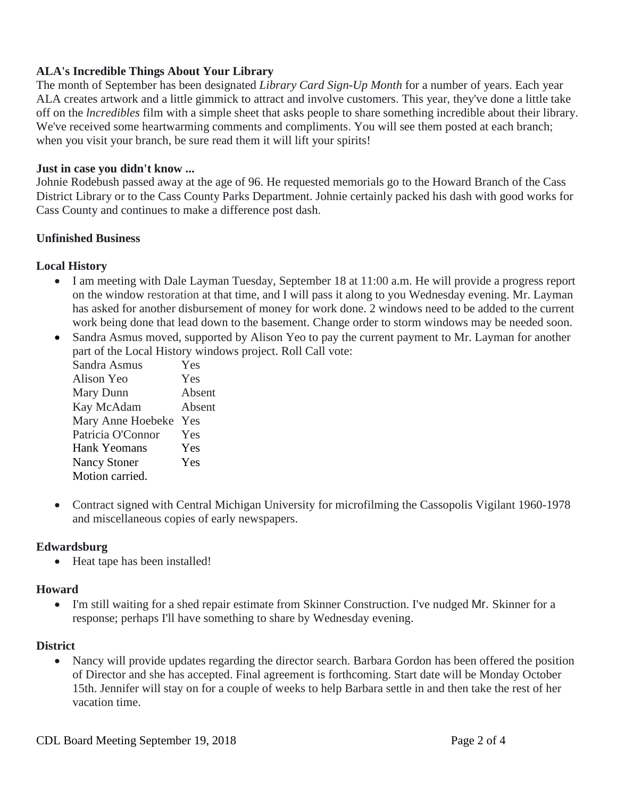# **ALA's Incredible Things About Your Library**

The month of September has been designated *Library Card Sign-Up Month* for a number of years. Each year ALA creates artwork and a little gimmick to attract and involve customers. This year, they've done a little take off on the *lncredibles* film with a simple sheet that asks people to share something incredible about their library. We've received some heartwarming comments and compliments. You will see them posted at each branch; when you visit your branch, be sure read them it will lift your spirits!

#### **Just in case you didn't know ...**

Johnie Rodebush passed away at the age of 96. He requested memorials go to the Howard Branch of the Cass District Library or to the Cass County Parks Department. Johnie certainly packed his dash with good works for Cass County and continues to make a difference post dash.

#### **Unfinished Business**

## **Local History**

- I am meeting with Dale Layman Tuesday, September 18 at 11:00 a.m. He will provide a progress report on the window restoration at that time, and I will pass it along to you Wednesday evening. Mr. Layman has asked for another disbursement of money for work done. 2 windows need to be added to the current work being done that lead down to the basement. Change order to storm windows may be needed soon.
- Sandra Asmus moved, supported by Alison Yeo to pay the current payment to Mr. Layman for another part of the Local History windows project. Roll Call vote:

| Sandra Asmus        | Yes    |
|---------------------|--------|
| Alison Yeo          | Yes    |
| Mary Dunn           | Absent |
| Kay McAdam          | Absent |
| Mary Anne Hoebeke   | Yes    |
| Patricia O'Connor   | Yes    |
| Hank Yeomans        | Yes    |
| <b>Nancy Stoner</b> | Yes    |
| Motion carried.     |        |

• Contract signed with Central Michigan University for microfilming the Cassopolis Vigilant 1960-1978 and miscellaneous copies of early newspapers.

# **Edwardsburg**

• Heat tape has been installed!

#### **Howard**

• I'm still waiting for a shed repair estimate from Skinner Construction. I've nudged Mr. Skinner for a response; perhaps I'll have something to share by Wednesday evening.

#### **District**

• Nancy will provide updates regarding the director search. Barbara Gordon has been offered the position of Director and she has accepted. Final agreement is forthcoming. Start date will be Monday October 15th. Jennifer will stay on for a couple of weeks to help Barbara settle in and then take the rest of her vacation time.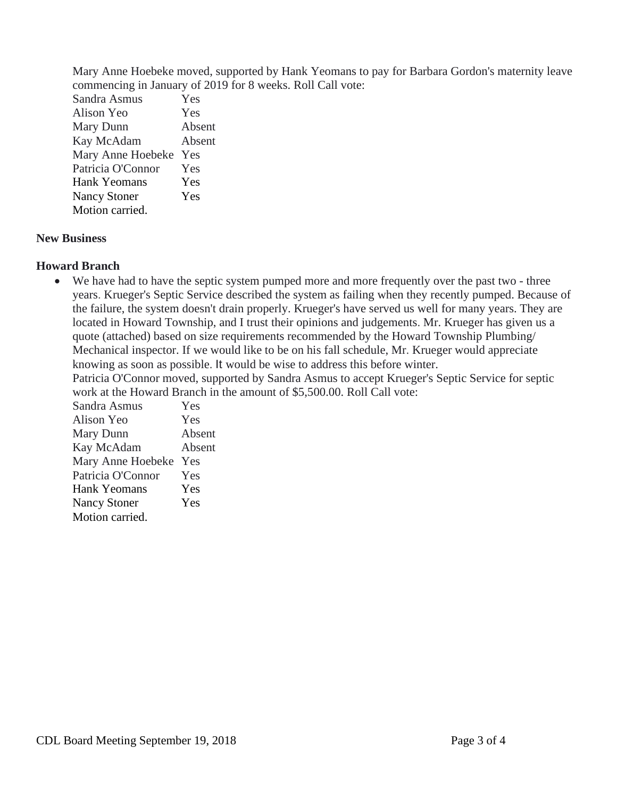Mary Anne Hoebeke moved, supported by Hank Yeomans to pay for Barbara Gordon's maternity leave commencing in January of 2019 for 8 weeks. Roll Call vote:

Sandra Asmus Yes Alison Yeo Yes Mary Dunn Absent Kay McAdam Absent Mary Anne Hoebeke Yes Patricia O'Connor Yes Hank Yeomans Yes Nancy Stoner Yes Motion carried.

## **New Business**

## **Howard Branch**

• We have had to have the septic system pumped more and more frequently over the past two - three years. Krueger's Septic Service described the system as failing when they recently pumped. Because of the failure, the system doesn't drain properly. Krueger's have served us well for many years. They are located in Howard Township, and I trust their opinions and judgements. Mr. Krueger has given us a quote (attached) based on size requirements recommended by the Howard Township Plumbing/ Mechanical inspector. If we would like to be on his fall schedule, Mr. Krueger would appreciate knowing as soon as possible. It would be wise to address this before winter.

Patricia O'Connor moved, supported by Sandra Asmus to accept Krueger's Septic Service for septic work at the Howard Branch in the amount of \$5,500.00. Roll Call vote:

| Sandra Asmus        | Yes    |
|---------------------|--------|
| Alison Yeo          | Yes    |
| Mary Dunn           | Absent |
| Kay McAdam          | Absent |
| Mary Anne Hoebeke   | Yes    |
| Patricia O'Connor   | Yes    |
| Hank Yeomans        | Yes    |
| <b>Nancy Stoner</b> | Yes    |
| Motion carried.     |        |